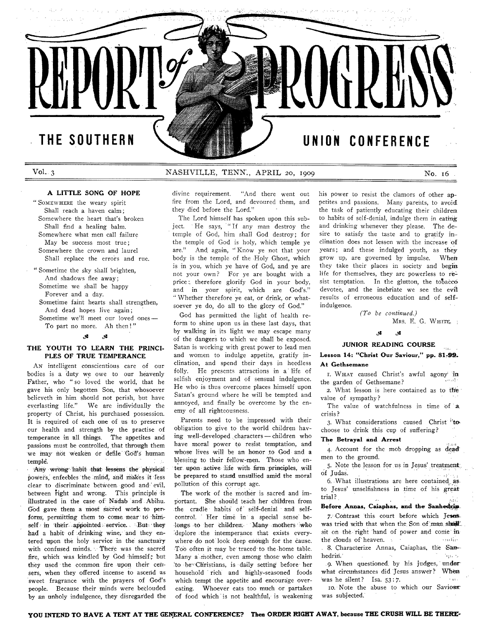

# Vol. 3 NASH VILLE, TENN., APRIL 20, 1909 No. 16<sup>16</sup>

# **A LITTLE SONG OF HOPE**

" SOMEWHERE the weary spirit Shall reach a haven calm ; Somewhere the heart that's broken Shall find a healing balm. Somewhere what men call failure May be success most true ; Somewhere the crown and laurel Shall replace the errors and rue.

" Sometime the sky shall brighten, And shadows flee away ; Sometime we shall be happy Forever and a day.

Sometime faint hearts shall strengthen, And dead hopes live again ; Sometime we'll meet our loved ones —

ړو.

To part no more. Ah then!"

 $\mathcal{R}$ 

# **THE YOUTH TO LEARN THE PRINCI-PLES OF TRUE TEMPERANCE**

AN intelligent conscientious care of our bodies is a duty we owe to our heavenly Father, who " so loved the world, that he gave his only begotten Son, that whosoever believeth in him should not perish, but have everlasting life." We are individually the property of Christ, his purchased possession. It is required of each one of us to preserve our health and strength by the practise of temperance in all things. The appetites and passions must be controlled, that through them we may hot w'eakèn òr defile God's human temple'.

Any wrong habit that lessens the physical powers, enfeebles the mind, arid makes it less clear to discriminate between good and evil, between right and wrong. This principle is illustrated in the case of Nadab and Abihu. God gave them a most sacred work to perform, permitting them to come near to himself in their appointed service. But they had a habit of drinking wine, and they entered upon the holy service in the sanctuary with confused minds. There was the sacred fire, which was kindled by God himself.; but they used the common fire upon their censers, when they offered incense to ascerid as sweet fragrance with the prayers of God's people. Because their minds were beclouded by an unholy indulgence, they disregarded the divine requirement. "And there went out fire from the Lord, and devoured them, and they died before the Lord."

The Lord himself has spoken upon this subject. He says, " If any man destroy the temple of God, him shall God destroy; for the temple of God is holy, which temple ye are." And again, " Know ye not that your body is the temple of the Holy Ghost, which is in you, which ye have of God, and ye are not your own? For ye are bought with a price: therefore glorify God in your body, and in your spirit, which are God's." " Whether therefore ye eat, or drink, or whatsoever ye do, do all to the glory of God."

God has permitted the light of health reform to shine upon us in these last days, that by walking in its light we may escape many of the dangers to which we shall be exposed. Satan is working with great power to lead men and women to indulge appetite, gratify inclination, and spend their days in heedless folly. He presents attractions in a life of selfish enjoyment and of sensual indulgence. He who is thus overcome places himself upon Satan's ground where he will be tempted and annoyed, and finally be overcome by the enemy of all righteousness.

Parents need to be impressed with their obligation to give to the world children having well-developed characters — children who have moral power to resist temptation, and whose lives will be an honor to God and a blessing to their fellow-men. Those who enter, upon active life with firm.principles, will be prepared to stand unsullied amid the moral pollution of this corrupt age.

The work of the mother is sacred and important. She should teach her children from the cradle habits of self-denial and selfcontrol. Her time in a special sense belongs to her children. Many mothers who -deplore :the intemperance that exists everywhere-do not look deep enough for the cause. Too often it may be traced'to the-home table. Many a mother, even among those' who claim .'to be\*'Christians, is daily setting before her household rich and highly-seasoned foods which tempt the appetite and encourage overeating. Whoever eats too much or partakes of food which is not healthful, is weakening

his power to resist the clamors of other appetites and passions. Many parents, to avoid the task of patiently educating their children to habits of self-denial, indulge them in eating and drinking whenever they please. The desire to satisfy the taste and to gratify inclination does not lessen with the increase of years; and these indulged youth, as they grow up, are governed by impulse. When they take their places in society and begin life for themselves, they are powerless to resist temptation. In the glutton, the tobacco devotee, and the inebriate we see the evil results of erroneous education and of selfindulgence.

> *(T o be continued.)* MRS. E. G. WHITE. ;

# y.

# **JUNIOR READING COURSE**

<u>يو.</u>

**Lesson 14: "Christ Our Saviour," pp. 81 -99. At Gethsemane**

r. WHAT caused Christ's awful agony in the garden of Gethsemane?

2. What lesson is here contained as to the value of sympathy ?

The value of watchfulness in time of a crisis ?

3. What considerations caused Christ <sup>i</sup>to choose to drink this cup of suffering?

#### **The Betrayal and Arrest**

4. Account for the mob dropping as dead' men to the ground.

5. Note the lesson for , us in Jesus' treatment;, of Judas.

6. What illustrations are here contained asto Jesus' unselfishness in time of his great trial?.

#### Before Annas, Caiaphas, and the Sanhedrin

7. Contrast this court before which Jeses. was tried with that when the Son of man shall. sit on the right hand of power and come in thé clouds o f1 heaven. *•*

*.* 8. Characterize Annas, Caiaphas, the Sanhedrin. The contract of the contract of the contract of the contract of the contract of the contract of the contract of the contract of the contract of the contract of the contract of the contract of the contract of the co

9. When questioned by his judges, underwhat circumstances did Jesus answer? When was he silent? Isa. 53:7.

10. Note the abuse to which our Saviour was subjected.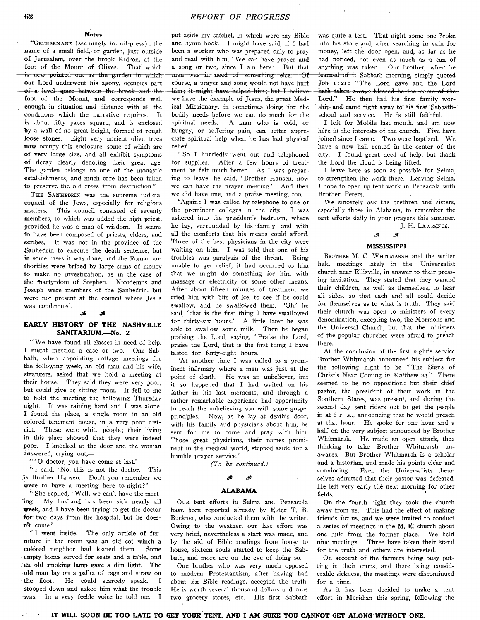### **Notes**

"GETHSEMANE (seemingly for oil-press) : the name of a small field, or garden, just outside of Jerusalem, over the brook Kidron, at the<br>foot of the Mount of Olives. That which foot of the Mount of Olives. is now pointed out as the garden in which our Lord underwent his agony, occupies part of-a level space between the brook-and the foot of the Mount, and corresponds well enough in situation and distance with all the conditions which the narrative requires. It is about fifty paces square, and is enclosed by a wall of no great height, formed of rough loose stones. Eight very ancient olive trees now occupy this enclosure, some of which are of very large size, and all exhibit symptoms of decay clearly denoting their great age. The garden belongs to one of the monastic establishments, and much care has been taken to preserve the old trees from destruction."

THE SANHEDRIN was the supreme judicial council of the Jews, especially for religious matters. This council consisted of seventy members, to which was added the high priest, provided he was a man of wisdom. It seems to have been composed of priests, elders, and scribes. It was not in the province of the Sanhedrin to execute the death sentence, but in some cases it was done, and the Roman authorities were bribed by large sums of money to make no investigation, as in the case of the fhartyrdom of Stephen. Nicodemus and Joseph were members of the Sanhedrin, but were not present at the council where Jesus was condemned.

#### *st* **.2**

### **EARLY HISTORY OF THE NASHVILLE SANITARIUM.— No. 2**

" We have found all classes in need of help. I might mention a case or two. One Sabbath, when appointing cottage meetings for the following week, an old man and his wife, strangers, asked that we hold a meeting at their house. They said they were very poor, but could give us sitting room. It fell to me to hold the meeting the following Thursday night. It was raining hard and I was alone. I found the place, a single room in an old colored tenement house, in a very poor district. These were white people; their living in this place showed that they were indeed poor. I knocked at the door and the woman answered, crying out,—

" 'O doctor, you have come at last.'

" I said, ' No, this is not the doctor. This fis Brother Hansen. Don't you remember we were to have a meeting here to-night?'

" She replied, ' Well, we can't have the meeting. My husband has been sick nearly all week, and I have been trying to get the doctor for two days from the hospital, but he doesn't come.'<br>"I went inside.

The only article of furniture in the room was an old cot which a ■ colored neighbor had loaned them. Some • empty boxes served for seats and a table, and ran old smoking lamp gave a dim light. The old man lay on a pallet of rags and straw on the floor. He could scarcely speak. I ■stooped down and asked him what the trouble was. In a very feeble voice he told me. I put aside my satchel, in which were my Bible and hymn book. I might have said, if I had been a worker who was prepared only to pray and read with him, 'We can have prayer and a song or two, since I am here.' But that man—was—in- need—of— something— else:- $\Theta$ f course, a prayer and song would not have hurt him; it-might have helped him; but I believe we have the example of Jesus, the great Medical Missionary, in sometimes doing for the bodily needs before we can do much for the spiritual needs. A man who is cold, or hungry, or suffering pain, can better appreciate spiritual help when he has had physical relief.

" So I hurriedly ' went out and telephoned for supplies. After a few hours of treatment he felt much better. As I was preparing to leave, he said, ' Brother Hansen, now we can have the prayer meeting.' And then we did have one, and a praise meeting, too.

"Again : I was called by telephone to one of the prominent colleges in the city. I was ushered into the president's bedroom, where he lay, surrounded by his family, and with all the comforts that his means could afford. Three of the best physicians in the city were waiting on him. I was told, that one of his troubles was paralysis of the throat. Being unable to get relief, it had occurred to him that we might do something for him with massage or electricity or some other means. A fter about fifteen minutes of treatment we tried him with bits of ice, to see if he could swallow, and he swallowed them. 'Oh,' he said, ' that is the first thing I have swallowed for thirty-six hours.' A little later he was able to swallow some milk. Then he began praising the Lord, saying, 'Praise the Lord, praise the Lord, that is the first thing I have tasted for forty-eight hours.'

"At another time I was called to a prominent infirmary where a man was just at the point of death. He was an unbeliever, but it so happened that I had waited on his father in his last moments, and through a rather remarkable experience had opportunity to reach the unbelieving son with some gospel principles. Now, as he lay at death's door, with his family and physicians about him, he sent for me to come and pray with him. Those great physicians, their names prominent in the medical world, stepped aside for a humble prayer service."

*(T o be continued.)*

#### *S t St*

### **ALABAMA**

OUR tent efforts in Selma and Pensacola have been reported already by Elder T. B. Buckner, who conducted them with the writer, Owing to the weather, our last effort was very brief, nevertheless a start was made, and by the aid of Bible readings from house to house, sixteen souls started to keep the Sabbath, and more are on the eve of doing so.

One brother who was very much opposed to modern Protestantism, after having had about six Bible readings, accepted the truth. He is worth several thousand dollars and runs two grocery stores, etc. His first Sabbath was quite a test. That night some one broke into his store and, after searching in vain for money, left the door open, and, as far as he had noticed, not even as much as a can of anything was taken. Our brother, when he learned of it Sabbath morning, simply quoted Job 1:21: "The Lord gave and the Lord **hath- taken away ; blessed be the -name** of -the - Lord." He then had his first family worship and came right away to his first Sabbathschool and service. He is still faithful.

I left for Mobile last month, and am now hère in the interests of the church. Five have joined since I came. Two were baptized. We have a new hall rented in the center of the city. I found great need of help, but thank the Lord the cloud is being lifted.

I leave here as soon as possible for Selma, to strengthen the work there. Leaving Selma, I hope to open up tent work in Pensacola with Brother Peters.

We sincerely ask the brethren and sisters, especially those in Alabama, to remember the tent efforts daily in your prayers this summer.

# J. H. LAWRENCE.

# «58 *St*

# **MISSISSIPPI**

BROTHER M. C. WHITMARSH and the writer held meetings lately in the Universalist church near Ellisville, in answer to their pressing invitation. They stated that they wanted their children, as well as themselves, to hear all sides, so that each and all could decide for themselves as to what is truth. They said their church was open to ministers of every denomination, excepting two, the Mormons and the Universal Church, but that the ministers of the popular churches were afraid to preach there.

At the conclusion of the first night's service Brother Whitmarsh announced his subject for the following night to be "The Signs of Christ's Near Coming in Matthew 24." There seemed to be no opposition; but their chief pastor, the president of their work in the Southern States, was present, and during the second day sent riders out to get the people in at 6 p. M., announcing that he would preach at that hour. He spoke for one hour and a half on the very subject announced by Brother Whitmarsh. He made an open attack, thus thinking to take Brother Whitmarsh unawares. But Brother Whitmarsh is a scholar and a historian, and made his points clear and convincing. Even the Universalists themselves admitted that their pastor was defeated. He left very early the next morning for other fields.

On the fourth night they took the church away from us. This had the effect of making friends for us, and we were invited to conduct a series of meetings in the M. E. church about one mile from the former place. We held nine meetings. Three have taken their stand for the truth and others are interested.

On account of the farmers being busy putting in their crops, and there being considerable sickness, the meetings were discontinued for a time.

As it has been decided to make a tent effort in Meridian this spring, following the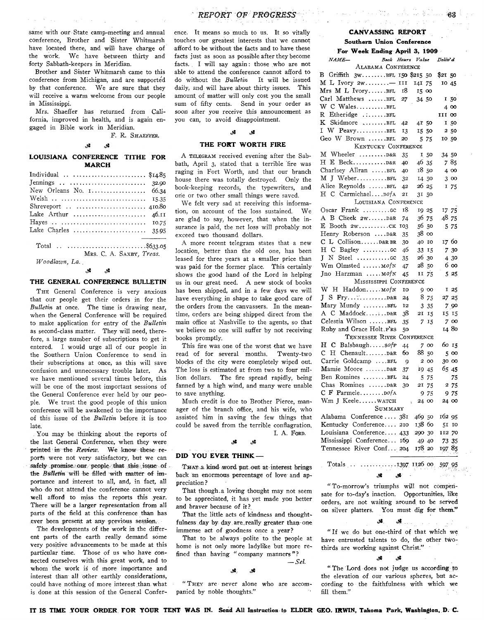same with our-State camp-meeting and annual conference, Brother and Sister Whitmarsh have located there, and will have charge of the work. We have between thirty and forty Sabbath-keepers in Meridian.

Brother and Sister Whitmarsh came to this conference from Michigan, and are supported by that conference. We are sure that they will receive a warm welcome from our people in Mississippi.

Mrs. Shaeffer has returned from California, improved in health, and is again engaged in Bible work in Meridian.

F. R. SHAEFFER.

#### *S S*

#### **LOUISIANA CONFERENCE TITHE FOR MARCH**

| Lake Charles  35.95      |  |
|--------------------------|--|
| Total $\ldots$ \$633.05  |  |
| Mrs. C. A. SAXBY, Treas. |  |

*Woodlawn, La.* 

# *S S*

### **THE GENERAL CONFERENCE BULLETIN**

THE General Conference is very anxious that our people get their orders in for the *Bulletin* at once. The time is drawing near, when the General Conference will be required to make application for entry of the *Bulletin* as second-class matter. They will need, therefore, a large number of subscriptions to get it entered. I would urge all of our people in the Southern Union Conference to send in their subscriptions at once, as this will save confusion and unnecessary trouble later. As we have mentioned several times before, this will be one of the most important sessions of the General Conference ever held by our people. We trust the good people of this union conference will be awakened to the importance of this issue of the *Bulletin* before it is too late.

You may be thinking about the reports of the last General Conference, when they were printed in the *Review*. We know these reports were not very satisfactory, but we can :safely-promise.our people that this issue of the *Bulletin* will be filled with matter of importance and interest to all, and, in fact, all who do not attend the conference cannot very well afford to miss the reports this year. There will be a larger representation from all parts of the field at this conference than has ever been present at any previous session.

The developments of the work in the different parts of the earth really demand some very positive advancements to be made at this particular time. Those of us who have connected ourselves with this great work, and to whom the work is of more importance and interest than all other earthly considerations, could have nothing of more interest than what is done at this session of the General Confer-

# *REPORT OF PROGRESS*

ence. It means so much to us. It so vitally touches our greatest interests that we cannot afford to be without the facts and to have these facts just as soon as possible after they become facts. I will say again: those who are not able to attend the conference cannot afford to do without the *Bulletin* It will be issued daily, and will have about thirty issues. This amount of matter will only cost you the small sum of fifty cents. Send in your order as soon after you receive this announcement as you can, to avoid disappointment.

#### *SI St*

#### **THE FORT WORTH FIRE**

A TELEGRAM received evening after the Sabbath, April 3, stated that a terrible fire was raging in Fort Worth, and that our branch house there was totally destroyed. Only the book-keeping records, the typewriters, and one or two other small things were saved.

We felt very sad at receiving this information, on account of the loss sustained. We are glad to say, however, that when the insurance is paid, the net loss will probably not exceed two thousand dollars.

A more recent telegram states that a new location, better than the old one, has been leased for three years at a smaller price than was paid for the former place. This certainly shows the good hand of the Lord in helping us in our great need. A new stock of books has been shipped, and in a few days we will have everything in shape to take good care of the orders from the canvassers. In the meantime, orders are being shipped direct from the main office at Nashville to the agents, so that we believe no one will suffer by not receiving books promptly.

This fire was one of the worst that we have read of for several months. Twenty-two blocks of the city were completely wiped out. The loss is estimated at from two to four million dollars. The fire spread rapidly, being fanned by a high wind, and many were unable to save anything.

Much credit is due to Brother Pierce, manager of the branch office, and his wife, who assisted him in saving the few things that could be saved from the terrible conflagration. I. A. FORD.

#### *Si Si*

#### **DID YOU EVER THINK —**

THAT a kind-word put out at interest brings back an enormous percentage of love and appreciation ?

That though.a loving thought may not seem to be appreciated, it has yet made you better and braver because of it?

That the little acts of kindness and thoughtfulness day by day are really greater than one immense act of goodness once a year?

That to be always polite to the people at home is not only more ladylike but more refined than having " company manners"?

*— Sel.*

### *Si.- Si*

" THEY are never alone who are accompanied by noble thoughts.'

# CANVASSING REPORT

#### **Southern Union Conference**

| For Week Ending April 3, 1909                                   |      |                 |       |          |       |
|-----------------------------------------------------------------|------|-----------------|-------|----------|-------|
| Book Hours Value<br>NAME-                                       |      |                 |       | Deliv' d |       |
| ALABAMA CONFERENCE                                              |      |                 |       |          |       |
| B Griffith<br>$3W$ BFL $150$ \$215 50                           |      |                 |       | \$21 50  |       |
| M L Ivory 2w- III                                               |      | 141             | 75    | 10 45    |       |
| Mrs M L IvoryBFL                                                | - 18 | 15 00           |       |          |       |
| Carl Matthews BFL                                               | - 27 | 34 50           |       |          | I 50  |
| W C WalesBFL                                                    |      |                 |       |          | 4 00  |
| $E$ theridge $\ldots \ldots$ . BFL<br>R                         |      |                 |       | III OO   |       |
| K Skidmore BFL                                                  | 42   | 41 50           |       |          | I 50  |
| I W PeavyBFL                                                    | 13   | 15 50           |       |          | 2 50  |
| Geo W Brown BFL                                                 | 20   |                 | 5 75  | 10 50    |       |
| KENTUCKY CONFERENCE                                             |      |                 |       |          |       |
| M Wheeler b&R                                                   | 35   |                 | I 50  | 34 50    |       |
| H E BeckD&R                                                     | 40   | 46 35           |       |          | 785   |
| Charlsey Allran BFL                                             | 40   | 1850            |       |          | 4 00  |
| M J WeberBFL                                                    | 32   | 14 50           |       |          | 3 00  |
| Alice Reynolds BFL                                              | 42   | 26 25           |       |          | I 75  |
| H C Carmichael Dof A                                            | 21   | 31 50           |       |          |       |
| LOUISIANA CONFERENCE                                            |      |                 |       |          |       |
| Oscar Frank $\dots\dots\dots$                                   | 18   | 19 25           |       |          | 17 75 |
| A B Cheek 2wD&R                                                 | 74   | 36 75           |       |          | 48 75 |
| $E$ Booth $2w$ $CK$                                             | 103  | 56 50           |       |          | 5 75  |
| Henry Roberson D&R                                              | 35   | 38 00           |       |          |       |
| C L CollisonD&R BR                                              | 30   | 40 10           |       |          | 17 60 |
| H C Bagley cc                                                   | 46   | 33 15           |       |          | 7 30  |
| J N Steel cc                                                    | 35   | 26 30           |       |          | 4 30  |
| Wm Olmsted  MofN                                                | 47   | 2850            |       |          | 6 00  |
| Jno Harzman  MofN                                               | 45   | II              | 75    |          | 525   |
| MISSISSIPPÌ CONFERENCE                                          |      |                 |       |          |       |
| W H Haddon MofN                                                 | 10   |                 | 9.00  |          | I 25  |
|                                                                 | 24   |                 | 8 75  |          | 27 25 |
| Mary Mundy BFL                                                  | 12   | 3               | 35    |          | 7,90  |
| A C Maddock D&R                                                 | 38   | 21              | 15    |          | 15 I5 |
| Celestia Wilson BFL                                             | 35   | 7.              | 15    |          | 700   |
| Ruby and Grace Holt. P'RS                                       | 50   |                 |       |          | 1480  |
| TENNESSEE RIVER CONFERENCE                                      |      |                 |       |          |       |
| $H \ C$ Balsbaugh $\mathcal{S}$                                 | 44   |                 | 700   |          | 60 15 |
| C H Chenault D&R                                                | 60   | 88 50           |       |          | 5 00  |
| Carrie Goldcamp BFL                                             | -9   |                 | 2 00  |          | 30 00 |
| Mamie Moore D&R                                                 | 37   |                 | I9 45 |          | 6545  |
| Ben Romines BFL                                                 | 24   |                 | 5 75  |          | 75    |
| Chas Romines  D&R                                               | 30   | 21              | 75    |          | 2 75  |
| C F Parmele DOfA                                                |      |                 | 9 75  |          | 975   |
| Wm J Keelewarch                                                 |      |                 | 24 00 |          | 24 00 |
| SUMMARY                                                         |      | $\Delta$        |       |          |       |
| Alabama Conference  381                                         |      |                 |       | 162 95   |       |
| Kentucky Conference 210 138 60                                  |      | 469 50          |       | 51 10    |       |
| Louisiana Conference 433                                        |      |                 |       | 112 70   |       |
|                                                                 |      | 290 30<br>49 40 |       |          |       |
| Mississippi Conference 169<br>Tennessee River Conf $204$ 178 20 |      |                 |       | 73 35    |       |
|                                                                 |      |                 |       | 19785    |       |

# Totals .................... .1397 1126 00 597 95 J. *Si* -

" To-m orrow's triumphs will not compensate for to-day's inaction. Opportunities, like orders, are not waiting around to be served on silver platters. You must dig for them."

#### *Si* 4 \* ..................................

" If we do but one-third of that which we have entrusted talents to do, the other twothirds are working against Christ." '

#### *Si Si*

" The Lord does not judge us according to the elevation of our various spheres, but according to the faithfulness with which we fill them."

**IT IS TIME YOUR ORDER FOR YOUR TENT WAS IN. Send AU Instruction to ELDER GEO. IRWIN, Takoma Park, Washington, D. C.**